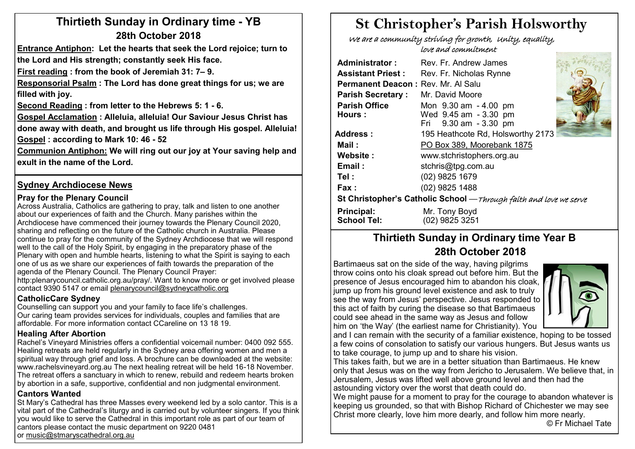# **Thirtieth Sunday in Ordinary time - YB 28th October 2018**

**Entrance Antiphon: Let the hearts that seek the Lord rejoice; turn to the Lord and His strength; constantly seek His face.**

**First reading : from the book of Jeremiah 31: 7– 9.** 

**Responsorial Psalm : The Lord has done great things for us; we are filled with joy.**

**Second Reading : from letter to the Hebrews 5: 1 - 6.** 

**Gospel Acclamation : Alleluia, alleluia! Our Saviour Jesus Christ has done away with death, and brought us life through His gospel. Alleluia! Gospel : according to Mark 10: 46 - 52**

**Communion Antiphon: We will ring out our joy at Your saving help and exult in the name of the Lord.**

### **Sydney Archdiocese News**

#### **Pray for the Plenary Council**

Across Australia, Catholics are gathering to pray, talk and listen to one another about our experiences of faith and the Church. Many parishes within the Archdiocese have commenced their journey towards the Plenary Council 2020, sharing and reflecting on the future of the Catholic church in Australia. Please continue to pray for the community of the Sydney Archdiocese that we will respond well to the call of the Holy Spirit, by engaging in the preparatory phase of the Plenary with open and humble hearts, listening to what the Spirit is saying to each one of us as we share our experiences of faith towards the preparation of the agenda of the Plenary Council. The Plenary Council Prayer:

[http:plenarycouncil.catholic.org.au/pray/.](http://plenarycouncil.catholic.org.au/pray/) Want to know more or get involved please contact 9390 5147 or email [plenarycouncil@sydneycatholic.org](mailto:plenarycouncil@sydneycatholic.org)

#### **CatholicCare Sydney**

Counselling can support you and your family to face life's challenges. Our caring team provides services for individuals, couples and families that are affordable. For more information contact CCareline on 13 18 19.

#### **Healing After Abortion**

Rachel's Vineyard Ministries offers a confidential voicemail number: 0400 092 555. Healing retreats are held regularly in the Sydney area offering women and men a spiritual way through grief and loss. A brochure can be downloaded at the website: www.rachelsvineyard.org.au The next healing retreat will be held 16-18 November. The retreat offers a sanctuary in which to renew, rebuild and redeem hearts broken by abortion in a safe, supportive, confidential and non judgmental environment.

#### **Cantors Wanted**

St Mary's Cathedral has three Masses every weekend led by a solo cantor. This is a vital part of the Cathedral's liturgy and is carried out by volunteer singers. If you think you would like to serve the Cathedral in this important role as part of our team of cantors please contact the music department on 9220 0481 or [music@stmaryscathedral.org.au](https://webmail.sydneycatholic.org/owa/redir.aspx?C=5S975uckKNxpo29TWO0YxQH_XkZilfESayfIzgj0taizFVWFziHWCA..&URL=mailto%3amusic%40stmaryscathedral.org.au)

# **St Christopher's Parish Holsworthy**

 We are a community striving for growth, Unity, equality, love and commitment

| <b>Administrator:</b>                                              | Rev. Fr. Andrew James                                                   |  |  |  |  |  |  |
|--------------------------------------------------------------------|-------------------------------------------------------------------------|--|--|--|--|--|--|
| <b>Assistant Priest:</b>                                           | Rev. Fr. Nicholas Rynne                                                 |  |  |  |  |  |  |
| Permanent Deacon: Rev. Mr. Al Salu                                 |                                                                         |  |  |  |  |  |  |
| <b>Parish Secretary:</b>                                           | Mr. David Moore                                                         |  |  |  |  |  |  |
| <b>Parish Office</b><br>Hours:                                     | Mon 9.30 am - 4.00 pm<br>Wed 9.45 am - 3.30 pm<br>Fri 9.30 am - 3.30 pm |  |  |  |  |  |  |
| Address :                                                          | 195 Heathcote Rd, Holsworthy 2173                                       |  |  |  |  |  |  |
| Mail:                                                              | PO Box 389, Moorebank 1875                                              |  |  |  |  |  |  |
| Website:                                                           | www.stchristophers.org.au                                               |  |  |  |  |  |  |
| Email:                                                             | stchris@tpg.com.au                                                      |  |  |  |  |  |  |
| Tel :                                                              | (02) 9825 1679                                                          |  |  |  |  |  |  |
| Fax :                                                              | (02) 9825 1488                                                          |  |  |  |  |  |  |
| St Christopher's Catholic School - Through faith and love we serve |                                                                         |  |  |  |  |  |  |
| Principal:<br><b>School Tel:</b>                                   | Mr. Tony Boyd<br>(02) 9825 3251                                         |  |  |  |  |  |  |

# **Thirtieth Sunday in Ordinary time Year B 28th October 2018**

Bartimaeus sat on the side of the way, having pilgrims throw coins onto his cloak spread out before him. But the presence of Jesus encouraged him to abandon his cloak, liump up from his ground level existence and ask to truly see the way from Jesus' perspective. Jesus responded to this act of faith by curing the disease so that Bartimaeus could see ahead in the same way as Jesus and follow him on 'the Way' (the earliest name for Christianity). You



and I can remain with the security of a familiar existence, hoping to be tossed a few coins of consolation to satisfy our various hungers. But Jesus wants us to take courage, to jump up and to share his vision.

This takes faith, but we are in a better situation than Bartimaeus. He knew  $\mid$ only that Jesus was on the way from Jericho to Jerusalem. We believe that, in Jerusalem, Jesus was lifted well above ground level and then had the astounding victory over the worst that death could do.

We might pause for a moment to pray for the courage to abandon whatever is keeping us grounded, so that with Bishop Richard of Chichester we may see Christ more clearly, love him more dearly, and follow him more nearly.

© Fr Michael Tate